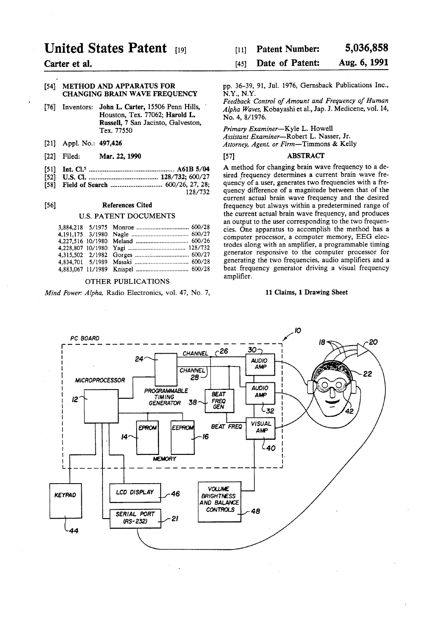# United States Patent (19)

Carter et al.

#### (54) METHOD AND APPARATUS FOR CHANGING BRAIN WAVE FREQUENCY

- [76] Inventors: John L. Carter, 15506 Penn Hills, Houston, Tex. 77062; Harold L. Russell, 7 San Jacinto, Galveston, Tex. 77550
- [21] Appl. No.: 497,426
- 22 Filed: Mar. 22, 1990
- 51) Int. Cl................................................. A61B 5/04
- 52 U.S. C. ....... a a as a e s so 128/732; 600/27
- 58) Field of Search ............................. 600/26, 27, 28; 128/732

#### (56) References Cited

#### U.S. PATENT DOCUMENTS

#### OTHER PUBLICATIONS

Mind Power: Alpha, Radio Electronics, vol. 47, No. 7,

#### 5,036,858 [11] Patent Number:

#### Aug. 6, 1991 (45) Date of Patent:

pp. 36-39, 91, Jul. 1976, Gernsback Publications Inc., N.Y., N.Y.

Feedback Control of Amount and Frequency of Human Alpha Waves, Kobayashi et al., Jap. J. Medicene, vol. 14, No. 4, 8/1976.

Primary Examiner-Kyle L. Howell

Assistant Examiner-Robert L. Nasser, Jr. Attorney, Agent, or Firm-Timmons & Kelly

#### [57] ABSTRACT

A method for changing brain wave frequency to a de sired frequency determines a current brain wave fre quency of a user, generates two frequencies with a fre quency difference of a magnitude between that of the current actual brain wave frequency and the desired frequency but always within a predetermined range of the current actual brain wave frequency, and produces an output to the user corresponding to the two frequencies. One apparatus to accomplish the method has a computer processor, a computer memory, EEG elec trodes along with an amplifier, a programmable timing generator responsive to the computer processor for generating the two frequencies, audio amplifiers and a beat frequency generator driving a visual frequency amplifier.

#### 11 Claims, 1 Drawing Sheet

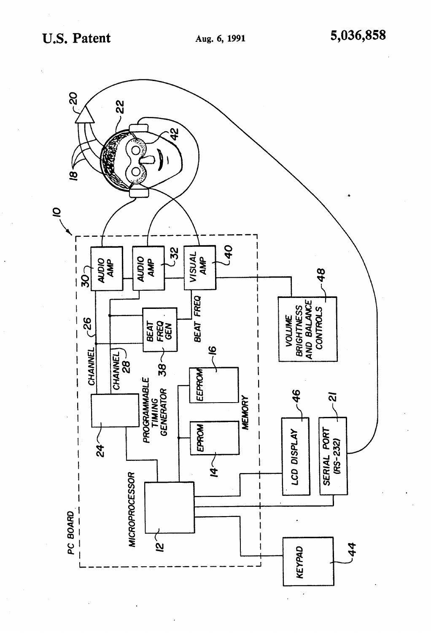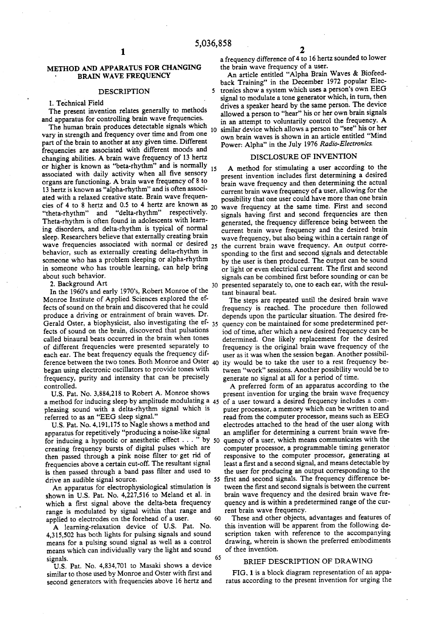#### METHOD AND APPARATUS FOR CHANGING BRAIN WAVE FREQUENCY

#### DESCRIPTION

#### 1. Technical Field

The present invention relates generally to methods and apparatus for controlling brain wave frequencies.

The human brain produces detectable signals which vary in strength and frequency over time and from one part of the brain to another at any given time. Different frequencies are associated with different moods and changing abilities. A brain wave frequency of 13 hertz or higher is known as "beta-rhythm' and is normally associated with daily activity when all five sensory 15 associated with daily activity when all five sensory organs are functioning. A brain wave frequency of 8 to 13 hertz is known as "alpha-rhythm" and is often associated with a relaxed creative state. Brain wave frequencies of 4 to 8 hertz and 0.5 to 4 hertz are known as  $20$  "theta-rhythm" and "delta-rhythm" respectively. Theta-rhythm is often found in adolescents with learn ing disorders, and delta-rhythm is typical of normal sleep. Researchers believe that externally creating brain behavior, such as externally creating delta-rhythm in someone who has a problem sleeping or alpha-rhythm in someone who has trouble learning, can help bring about such behavior.

2. Background Art

In the 1960's and early 1970's, Robert Monroe of the Monroe Institute of Applied Sciences explored the ef fects of sound on the brain and discovered that he could produce a driving or entrainment of brain waves. Dr. Gerald Oster, a biophysicist, also investigating the ef- 35 fects of sound on the brain, discovered that pulsations called binaural beats occurred in the brain when tones of different frequencies were presented separately to each ear. The beat frequency equals the frequency dif ference between the two tones. Both Monroe and Oster began using electronic oscillators to provide tones with frequency, purity and intensity that can be precisely controlled. 30

U.S. Pat. No. 3,884,218 to Robert A. Monroe shows pleasing sound with a delta-rhythm signal which is referred to as an "EEG sleep signal."

U.S. Pat. No. 4,191,175 to Nagle shows a method and apparatus for repetitively "producing a noise-like signal creating frequency bursts of digital pulses which are then passed through a pink noise filter to get rid of frequencies above a certain cut-off. The resultant signal is then passed through a band pass filter and used to drive an audible signal source. for inducing a hypnotic or anesthetic effect  $\dots$  " by 50 quency of a user, which means communicates with the creating frequency bursts of digital pulses which are computer processor, a programmable timing generator

An apparatus for electrophysiological stimulation is shown in U.S. Pat. No. 4,227,516 to Meland et al. in which a first signal above the delta-beta frequency range is modulated by signal within that range and<br>capital to electrodes on the forehead of a user applied to electrodes on the forehead of a user.

A learning-relaxation device of U.S. Pat. No. 4,315,502 has both lights for pulsing signals and sound means for a pulsing sound signal as well as a control means which can individually vary the light and sound signals. 65

U.S. Pat. No. 4,834,701 to Masaki shows a device similar to those used by Monroe and Oster with first and second generators with frequencies above 16 hertz and a frequency difference of 4 to 16 hertz sounded to lower the brain wave frequency of a user.

10 similar device which allows a person to "see' his or her An article entitled "Alpha Brain Waves & Biofeed back Training" in the December 1972 popular Elec tronics show a system which uses a person's own EEG signal to modulate a tone generator which, in turn, then drives a speaker heard by the same person. The device allowed a person to "hear" his or her own brain signals in an attempt to voluntarily control the frequency. A own brain waves is shown in an article entitled "Mind Power: Alpha" in the July 1976 Radio-Electronics.

#### DISCLOSURE OF INVENTION

25 the current brain wave frequency. An output corre A method for stimulating a user according to the present invention includes first determining a desired brain wave frequency and then determining the actual current brain wave frequency of a user, allowing for the possibility that one user could have more than one brain wave frequency at the same time. First and second signals having first and second frequencies are then generated, the frequency difference being between the current brain wave frequency and the desired brain wave frequency, but also being within a certain range of sponding to the first and second signals and detectable by the user is then produced. The output can be sound or light or even electrical current. The first and second signals can be combined first before sounding or can be presented separately to, one to each ear, with the resul tant binaural beat.

The steps are repeated until the desired brain wave frequency is reached. The procedure then followed depends upon the particular situation. The desired frequency con be maintained for some predetermined period of time, after which a new desired frequency can be determined. One likely replacement for the desired frequency is the original brain wave frequency of the ity would be to take the user to a rest frequency between "work" sessions. Another possibility would be to generate no signal at all for a period of time.

U.S. Pat. No. 3,884,218 to Robert A. Monroe shows present invention for urging the brain wave frequency a method for inducing sleep by amplitude modulating a 45 of a user toward a desired frequency includes a com-55 first and second signals. The frequency difference be A preferred form of an apparatus according to the present invention for urging the brain wave frequency puter processor, a memory which can be written to and read from the computer processor, means such as EEG electrodes attached to the head of the user along with an amplifier for determining a current brain wave fre quency of a user, which means communicates with the responsive to the computer processor, generating at least a first and a second signal, and means detectable by the user for producing an output corresponding to the tween the first and second signals is between the current brain wave frequency and the desired brain wave fre quency and is within a predetermined range of the current brain wave frequency.

> These and other objects, advantages and features of this invention will be apparent from the following description taken with reference to the accompanying drawing, wherein is shown the preferred embodiments of thee invention.

#### BRIEF DESCRIPTION OF DRAWING

FIG. 1 is a block diagram representation of an appa ratus according to the present invention for urging the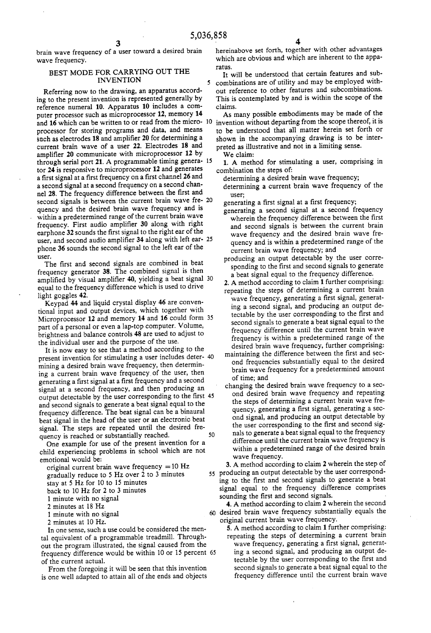## brain wave frequency of a user toward a desired brain wave frequency.

### BEST MODE FOR CARRYING OUT THE INVENTION

Referring now to the drawing, an apparatus accord ing to the present invention is represented generally by reference numeral 10. Apparatus 10 includes a com puter processor such as microprocessor 12, memory 14 and 16 which can be written to or read from the micro- 10 processor for storing programs and data, and means such as electrodes 18 and amplifier 20 for determining a current brain wave of a user 22. Electrodes 18 and amplifier 20 communicate with microprocessor 12 by amplifier 20 communicate with microprocessor 12 by through serial port 21. A programmable timing genera- 15 tor 24 is responsive to microprocessor 12 and generates a first signal at a first frequency on a first channel 26 and a second signal at a second frequency on a second chan nel 28. The frequency difference between the first and second signals is between the current brain wave fre- 20 quency and the desired brain wave frequency and is within a predetermined range of the current brain wave<br>frequency. First audio amplifier 30 along with right earphone 32 sounds the first signal to the right ear of the user, and second audio amplifier 34 along with left ear- 25 phone 36 sounds the second signal to the left ear of the user.

The first and second signals are combined in beat frequency generator 38. The combined signal is then amplified by visual amplifier 40, yielding a beat signal 30 equal to the frequency difference which is used to drive light goggles 42.

Keypad 44 and liquid crystal display 46 are conven tional input and output devices, which together with Microprocessor 12 and memory 14 and 16 could form  $35$ part of a personal or even a lap-top computer. Volume, brightness and balance controls 48 are used to adjust to the individual user and the purpose of the use.

It is now easy to see that a method according to the present invention for stimulating a user includes deter mining a desired brain wave frequency, then determin ing a current brain wave frequency of the user, then generating a first signal at a first frequency and a second signal at a second frequency, and then producing an output detectable by the user corresponding to the first 45 and second signals to generate a beat signal equal to the frequency difference. The beat signal can be a binaural beat signal in the head of the user or an electronic beat signal. The steps are repeated until the desired fre quency is reached or substantially reached. 50

One example for use of the present invention for a child experiencing problems in school which are not emotional would be:

original current brain wave frequency  $= 10$  Hz

gradually reduce to 5 Hz over 2 to 3 minutes

- stay at 5 Hz for 10 to 15 minutes
- back to 10 Hz for 2 to 3 minutes
- 1 minute with no signal
- 2 minutes at 18 Hz
- 1 minute with no signal
- 2 minutes at 10 Hz.

In one sense, such a use could be considered the men tal equivalent of a programmable treadmill. Through out the program illustrated, the signal caused from the frequency difference would be within 10 or 15 percent 65. of the current actual.

From the foregoing it will be seen that this invention is one well adapted to attain all of the ends and objects

hereinabove set forth, together with other advantages which are obvious and which are inherent to the appa ratuS.

It will be understood that certain features and sub combinations are of utility and may be employed with out reference to other features and subcombinations. This is contemplated by and is within the scope of the claims.

As many possible embodiments may be made of the invention without departing from the scope thereof, it is to be understood that all matter herein set forth or shown in the accompanying drawing is to be inter preted as illustrative and not in a limiting sense.

We claim:

1. A method for stimulating a user, comprising in

- combination the steps of:<br>determining a desired brain wave frequency;
	- determining a current brain wave frequency of the

- user; generating a first signal at a first frequency; generating a second signal at a second frequency wherein the frequency difference between the first and second signals is between the current brain wave frequency and the desired brain wave fre quency and is within a predetermined range of the current brain wave frequency; and
- producing an output detectable by the user corre sponding to the first and second signals to generate a beat signal equal to the frequency difference.
- 
- 2. A method according to claim 1 further comprising: repeating the steps of determining a current brain wave frequency, generating a first signal, generating a second signal, and producing an output detectable by the user corresponding to the first and second signals to generate a beat signal equal to the frequency difference until the current brain wave frequency is within a predetermined range of the desired brain wave frequency, further comprising:
- maintaining the difference between the first and second frequencies substantially equal to the desired brain wave frequency for a predetermined amount of time; and
- changing the desired brain wave frequency to a second desired brain wave frequency and repeating the steps of determining a current brain wave frequency, generating a first signal, generating a second signal, and producing an output detectable by the user corresponding to the first and second signals to generate a beat signal equal to the frequency difference until the current brain wave frequency is within a predetermined range of the desired brain wave frequency.

55 producing an output detectable by the user correspond-3. A method according to claim 2 wherein the step of ing to the first and second signals to generate a beat signal equal to the frequency difference comprises

sounding the first and second signals.<br>4. A method according to claim 2 wherein the second desired brain wave frequency substantially equals the

5. A method according to claim 1 further comprising: repeating the steps of determining a current brain wave frequency, generating a first signal, generating a second signal, and producing an output detectable by the user corresponding to the first and second signals to generate a beat signal equal to the frequency difference until the current brain wave